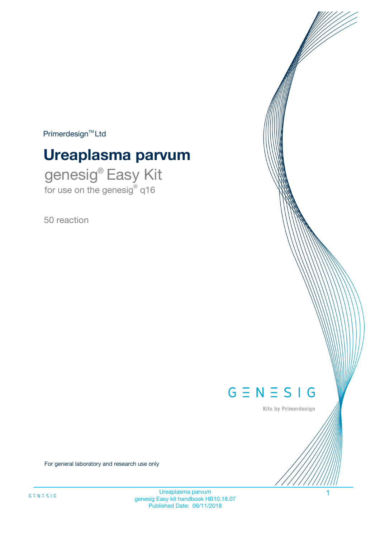$Primerdesign^{\text{TM}}Ltd$ 

# **Ureaplasma parvum**

genesig® Easy Kit for use on the genesig® q16

50 reaction



Kits by Primerdesign

For general laboratory and research use only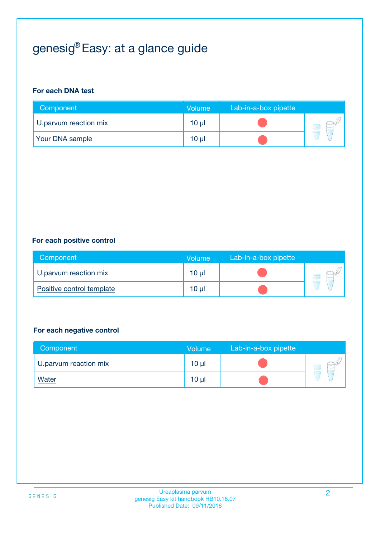# genesig® Easy: at a glance guide

#### **For each DNA test**

| Component              | <b>Volume</b> | Lab-in-a-box pipette |  |
|------------------------|---------------|----------------------|--|
| U parvum reaction mix  | 10 µl         |                      |  |
| <b>Your DNA sample</b> | 10 µl         |                      |  |

#### **For each positive control**

| Component                 | Volume          | Lab-in-a-box pipette |  |
|---------------------------|-----------------|----------------------|--|
| U.parvum reaction mix     | 10 µl           |                      |  |
| Positive control template | 10 <sub>µ</sub> |                      |  |

#### **For each negative control**

| Component             | <b>Volume</b>   | Lab-in-a-box pipette |  |
|-----------------------|-----------------|----------------------|--|
| U.parvum reaction mix | 10 <sub>µ</sub> |                      |  |
| <b>Water</b>          | 10 <sub>µ</sub> |                      |  |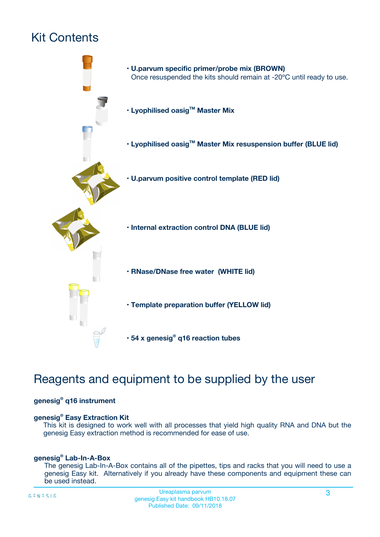# Kit Contents



# Reagents and equipment to be supplied by the user

#### **genesig® q16 instrument**

#### **genesig® Easy Extraction Kit**

This kit is designed to work well with all processes that yield high quality RNA and DNA but the genesig Easy extraction method is recommended for ease of use.

#### **genesig® Lab-In-A-Box**

The genesig Lab-In-A-Box contains all of the pipettes, tips and racks that you will need to use a genesig Easy kit. Alternatively if you already have these components and equipment these can be used instead.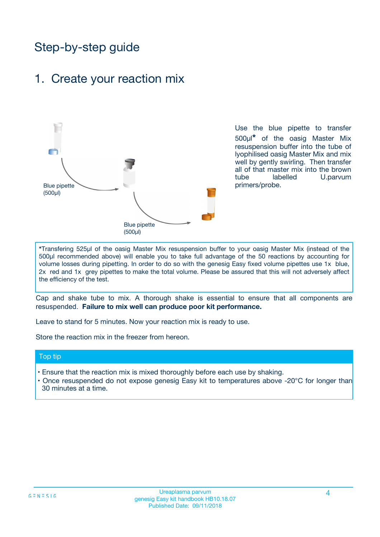# Step-by-step guide

### 1. Create your reaction mix



Use the blue pipette to transfer 500µl**\*** of the oasig Master Mix resuspension buffer into the tube of lyophilised oasig Master Mix and mix well by gently swirling. Then transfer all of that master mix into the brown tube labelled U.parvum primers/probe.

**\***Transfering 525µl of the oasig Master Mix resuspension buffer to your oasig Master Mix (instead of the 500µl recommended above) will enable you to take full advantage of the 50 reactions by accounting for volume losses during pipetting. In order to do so with the genesig Easy fixed volume pipettes use 1x blue, 2x red and 1x grey pipettes to make the total volume. Please be assured that this will not adversely affect the efficiency of the test.

Cap and shake tube to mix. A thorough shake is essential to ensure that all components are resuspended. **Failure to mix well can produce poor kit performance.**

Leave to stand for 5 minutes. Now your reaction mix is ready to use.

Store the reaction mix in the freezer from hereon.

#### Top tip

- Ensure that the reaction mix is mixed thoroughly before each use by shaking.
- **•** Once resuspended do not expose genesig Easy kit to temperatures above -20°C for longer than 30 minutes at a time.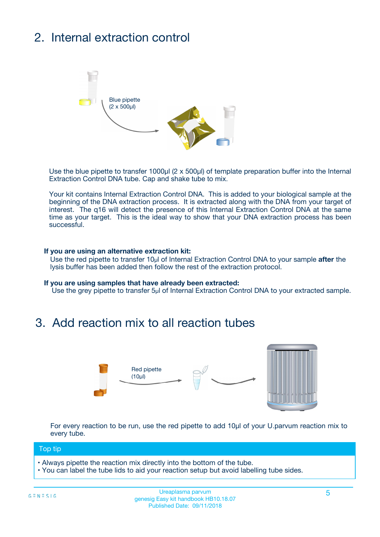# 2. Internal extraction control



Use the blue pipette to transfer 1000µl (2 x 500µl) of template preparation buffer into the Internal Extraction Control DNA tube. Cap and shake tube to mix.

Your kit contains Internal Extraction Control DNA. This is added to your biological sample at the beginning of the DNA extraction process. It is extracted along with the DNA from your target of interest. The q16 will detect the presence of this Internal Extraction Control DNA at the same time as your target. This is the ideal way to show that your DNA extraction process has been successful.

#### **If you are using an alternative extraction kit:**

Use the red pipette to transfer 10µl of Internal Extraction Control DNA to your sample **after** the lysis buffer has been added then follow the rest of the extraction protocol.

#### **If you are using samples that have already been extracted:**

Use the grey pipette to transfer 5µl of Internal Extraction Control DNA to your extracted sample.

### 3. Add reaction mix to all reaction tubes



For every reaction to be run, use the red pipette to add 10µl of your U.parvum reaction mix to every tube.

#### Top tip

- Always pipette the reaction mix directly into the bottom of the tube.
- You can label the tube lids to aid your reaction setup but avoid labelling tube sides.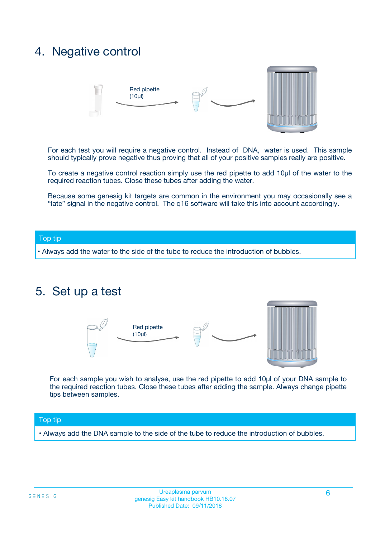### 4. Negative control



For each test you will require a negative control. Instead of DNA, water is used. This sample should typically prove negative thus proving that all of your positive samples really are positive.

To create a negative control reaction simply use the red pipette to add 10µl of the water to the required reaction tubes. Close these tubes after adding the water.

Because some genesig kit targets are common in the environment you may occasionally see a "late" signal in the negative control. The q16 software will take this into account accordingly.

#### Top tip

**•** Always add the water to the side of the tube to reduce the introduction of bubbles.

### 5. Set up a test



For each sample you wish to analyse, use the red pipette to add 10µl of your DNA sample to the required reaction tubes. Close these tubes after adding the sample. Always change pipette tips between samples.

#### Top tip

**•** Always add the DNA sample to the side of the tube to reduce the introduction of bubbles.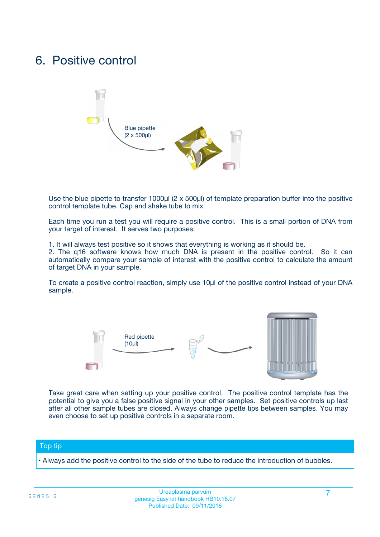### 6. Positive control



Use the blue pipette to transfer 1000µl (2 x 500µl) of template preparation buffer into the positive control template tube. Cap and shake tube to mix.

Each time you run a test you will require a positive control. This is a small portion of DNA from your target of interest. It serves two purposes:

1. It will always test positive so it shows that everything is working as it should be.

2. The q16 software knows how much DNA is present in the positive control. So it can automatically compare your sample of interest with the positive control to calculate the amount of target DNA in your sample.

To create a positive control reaction, simply use 10µl of the positive control instead of your DNA sample.



Take great care when setting up your positive control. The positive control template has the potential to give you a false positive signal in your other samples. Set positive controls up last after all other sample tubes are closed. Always change pipette tips between samples. You may even choose to set up positive controls in a separate room.

#### Top tip

**•** Always add the positive control to the side of the tube to reduce the introduction of bubbles.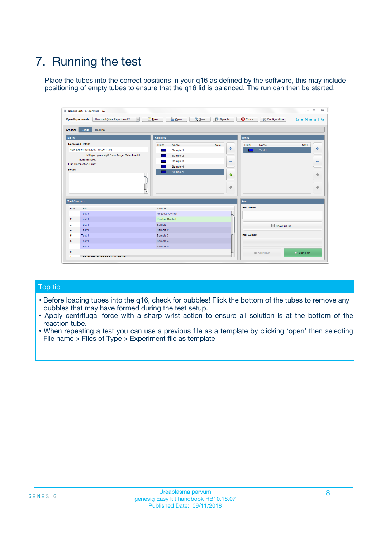# 7. Running the test

Place the tubes into the correct positions in your q16 as defined by the software, this may include positioning of empty tubes to ensure that the q16 lid is balanced. The run can then be started.

| genesig q16 PCR software - 1.2                                               |                                     | $\Box$                                                                                  |
|------------------------------------------------------------------------------|-------------------------------------|-----------------------------------------------------------------------------------------|
| Unsaved (New Experiment 2<br>$\vert \cdot \vert$<br><b>Open Experiments:</b> | <b>D</b> Open<br>Save<br>$\Box$ New | Save As<br><b>C</b> Close<br>$G \equiv N \equiv S \mid G$<br><b>&amp; Configuration</b> |
| Setup<br><b>Results</b><br><b>Stages:</b>                                    |                                     |                                                                                         |
| <b>Notes</b>                                                                 | Samples                             | <b>Tests</b>                                                                            |
| <b>Name and Details</b>                                                      | Color<br>Name                       | Note<br>Color<br>Note<br>Name                                                           |
| New Experiment 2017-10-26 11:06                                              | Sample 1                            | ع<br>条<br>Test 1                                                                        |
| Kit type: genesig® Easy Target Detection kit                                 | Sample 2                            |                                                                                         |
| Instrument Id.:                                                              | Sample 3                            | $\qquad \qquad \blacksquare$<br>$\qquad \qquad \blacksquare$                            |
| Run Completion Time:                                                         | Sample 4                            |                                                                                         |
| <b>Notes</b>                                                                 | Sample 5<br>A<br>v                  | $\triangle$<br>4<br>$\oplus$<br>₩                                                       |
| <b>Well Contents</b>                                                         |                                     | <b>Run</b>                                                                              |
| Pos.<br>Test                                                                 | Sample                              | <b>Run Status</b>                                                                       |
| Test 1<br>-1                                                                 | <b>Negative Control</b>             | $\blacktriangle$                                                                        |
| $\overline{2}$<br>Test 1                                                     | <b>Positive Control</b>             |                                                                                         |
| $\overline{\mathbf{3}}$<br>Test 1                                            | Sample 1                            | Show full log                                                                           |
| Test 1<br>$\overline{4}$                                                     | Sample 2                            |                                                                                         |
| 5<br>Test 1                                                                  | Sample 3                            | <b>Run Control</b>                                                                      |
| 6<br>Test 1                                                                  | Sample 4                            |                                                                                         |
| $\overline{7}$<br>Test 1                                                     | Sample 5                            |                                                                                         |
| 8                                                                            |                                     | $\triangleright$ Start Run<br>Abort Run                                                 |
| <b>JOD FURTY TUDE TO BUILDED IN</b>                                          |                                     | $\overline{\mathbf{v}}$                                                                 |

#### Top tip

- Before loading tubes into the q16, check for bubbles! Flick the bottom of the tubes to remove any bubbles that may have formed during the test setup.
- Apply centrifugal force with a sharp wrist action to ensure all solution is at the bottom of the reaction tube.
- When repeating a test you can use a previous file as a template by clicking 'open' then selecting File name > Files of Type > Experiment file as template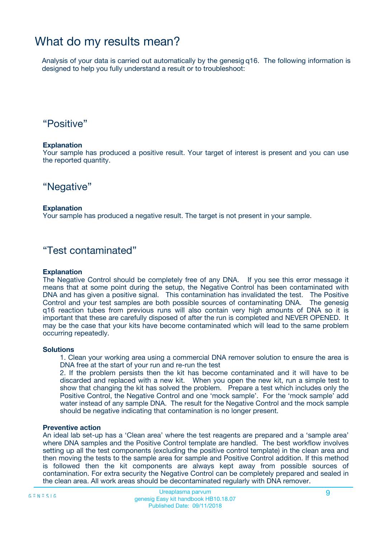## What do my results mean?

Analysis of your data is carried out automatically by the genesig q16. The following information is designed to help you fully understand a result or to troubleshoot:

### "Positive"

#### **Explanation**

Your sample has produced a positive result. Your target of interest is present and you can use the reported quantity.

"Negative"

#### **Explanation**

Your sample has produced a negative result. The target is not present in your sample.

### "Test contaminated"

#### **Explanation**

The Negative Control should be completely free of any DNA. If you see this error message it means that at some point during the setup, the Negative Control has been contaminated with DNA and has given a positive signal. This contamination has invalidated the test. The Positive Control and your test samples are both possible sources of contaminating DNA. The genesig q16 reaction tubes from previous runs will also contain very high amounts of DNA so it is important that these are carefully disposed of after the run is completed and NEVER OPENED. It may be the case that your kits have become contaminated which will lead to the same problem occurring repeatedly.

#### **Solutions**

1. Clean your working area using a commercial DNA remover solution to ensure the area is DNA free at the start of your run and re-run the test

2. If the problem persists then the kit has become contaminated and it will have to be discarded and replaced with a new kit. When you open the new kit, run a simple test to show that changing the kit has solved the problem. Prepare a test which includes only the Positive Control, the Negative Control and one 'mock sample'. For the 'mock sample' add water instead of any sample DNA. The result for the Negative Control and the mock sample should be negative indicating that contamination is no longer present.

#### **Preventive action**

An ideal lab set-up has a 'Clean area' where the test reagents are prepared and a 'sample area' where DNA samples and the Positive Control template are handled. The best workflow involves setting up all the test components (excluding the positive control template) in the clean area and then moving the tests to the sample area for sample and Positive Control addition. If this method is followed then the kit components are always kept away from possible sources of contamination. For extra security the Negative Control can be completely prepared and sealed in the clean area. All work areas should be decontaminated regularly with DNA remover.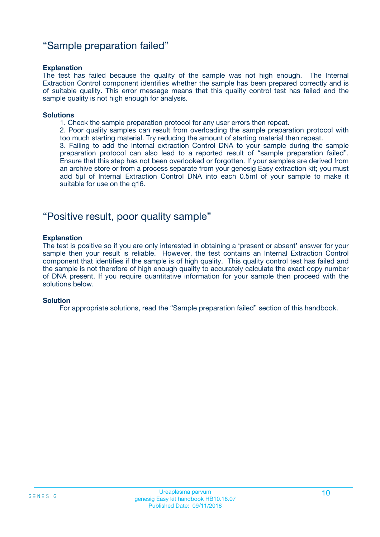### "Sample preparation failed"

#### **Explanation**

The test has failed because the quality of the sample was not high enough. The Internal Extraction Control component identifies whether the sample has been prepared correctly and is of suitable quality. This error message means that this quality control test has failed and the sample quality is not high enough for analysis.

#### **Solutions**

1. Check the sample preparation protocol for any user errors then repeat.

2. Poor quality samples can result from overloading the sample preparation protocol with too much starting material. Try reducing the amount of starting material then repeat.

3. Failing to add the Internal extraction Control DNA to your sample during the sample preparation protocol can also lead to a reported result of "sample preparation failed". Ensure that this step has not been overlooked or forgotten. If your samples are derived from an archive store or from a process separate from your genesig Easy extraction kit; you must add 5µl of Internal Extraction Control DNA into each 0.5ml of your sample to make it suitable for use on the q16.

### "Positive result, poor quality sample"

#### **Explanation**

The test is positive so if you are only interested in obtaining a 'present or absent' answer for your sample then your result is reliable. However, the test contains an Internal Extraction Control component that identifies if the sample is of high quality. This quality control test has failed and the sample is not therefore of high enough quality to accurately calculate the exact copy number of DNA present. If you require quantitative information for your sample then proceed with the solutions below.

#### **Solution**

For appropriate solutions, read the "Sample preparation failed" section of this handbook.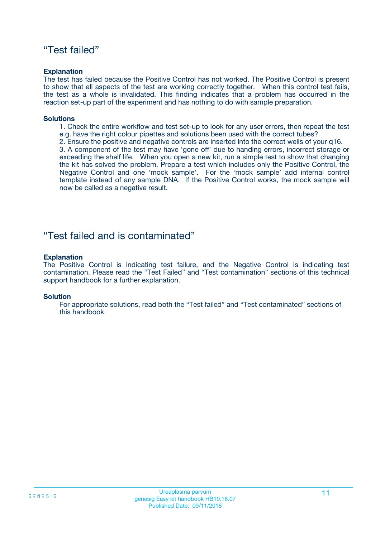### "Test failed"

#### **Explanation**

The test has failed because the Positive Control has not worked. The Positive Control is present to show that all aspects of the test are working correctly together. When this control test fails, the test as a whole is invalidated. This finding indicates that a problem has occurred in the reaction set-up part of the experiment and has nothing to do with sample preparation.

#### **Solutions**

- 1. Check the entire workflow and test set-up to look for any user errors, then repeat the test e.g. have the right colour pipettes and solutions been used with the correct tubes?
- 2. Ensure the positive and negative controls are inserted into the correct wells of your q16.

3. A component of the test may have 'gone off' due to handing errors, incorrect storage or exceeding the shelf life. When you open a new kit, run a simple test to show that changing the kit has solved the problem. Prepare a test which includes only the Positive Control, the Negative Control and one 'mock sample'. For the 'mock sample' add internal control template instead of any sample DNA. If the Positive Control works, the mock sample will now be called as a negative result.

### "Test failed and is contaminated"

#### **Explanation**

The Positive Control is indicating test failure, and the Negative Control is indicating test contamination. Please read the "Test Failed" and "Test contamination" sections of this technical support handbook for a further explanation.

#### **Solution**

For appropriate solutions, read both the "Test failed" and "Test contaminated" sections of this handbook.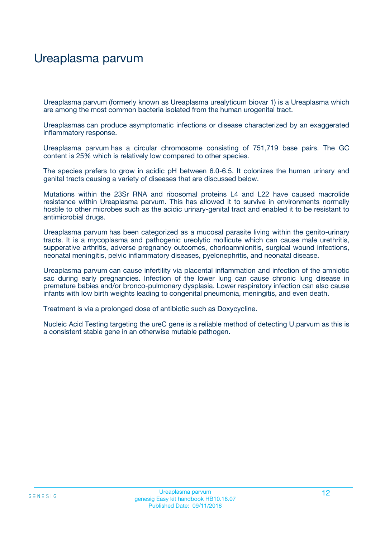## Ureaplasma parvum

Ureaplasma parvum (formerly known as Ureaplasma urealyticum biovar 1) is a Ureaplasma which are among the most common bacteria isolated from the human urogenital tract.

Ureaplasmas can produce asymptomatic infections or disease characterized by an exaggerated inflammatory response.

Ureaplasma parvum has a circular chromosome consisting of 751,719 base pairs. The GC content is 25% which is relatively low compared to other species.

The species prefers to grow in acidic pH between 6.0-6.5. It colonizes the human urinary and genital tracts causing a variety of diseases that are discussed below.

Mutations within the 23Sr RNA and ribosomal proteins L4 and L22 have caused macrolide resistance within Ureaplasma parvum. This has allowed it to survive in environments normally hostile to other microbes such as the acidic urinary-genital tract and enabled it to be resistant to antimicrobial drugs.

Ureaplasma parvum has been categorized as a mucosal parasite living within the genito-urinary tracts. It is a mycoplasma and pathogenic ureolytic mollicute which can cause male urethritis, supperative arthritis, adverse pregnancy outcomes, chorioamnionitis, surgical wound infections, neonatal meningitis, pelvic inflammatory diseases, pyelonephritis, and neonatal disease.

Ureaplasma parvum can cause infertility via placental inflammation and infection of the amniotic sac during early pregnancies. Infection of the lower lung can cause chronic lung disease in premature babies and/or bronco-pulmonary dysplasia. Lower respiratory infection can also cause infants with low birth weights leading to congenital pneumonia, meningitis, and even death.

Treatment is via a prolonged dose of antibiotic such as Doxycycline.

Nucleic Acid Testing targeting the ureC gene is a reliable method of detecting U.parvum as this is a consistent stable gene in an otherwise mutable pathogen.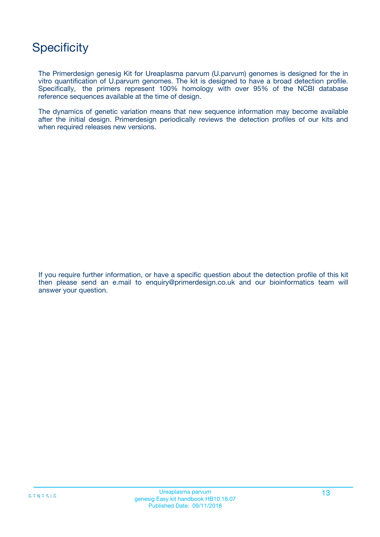# **Specificity**

The Primerdesign genesig Kit for Ureaplasma parvum (U.parvum) genomes is designed for the in vitro quantification of U.parvum genomes. The kit is designed to have a broad detection profile. Specifically, the primers represent 100% homology with over 95% of the NCBI database reference sequences available at the time of design.

The dynamics of genetic variation means that new sequence information may become available after the initial design. Primerdesign periodically reviews the detection profiles of our kits and when required releases new versions.

If you require further information, or have a specific question about the detection profile of this kit then please send an e.mail to enquiry@primerdesign.co.uk and our bioinformatics team will answer your question.